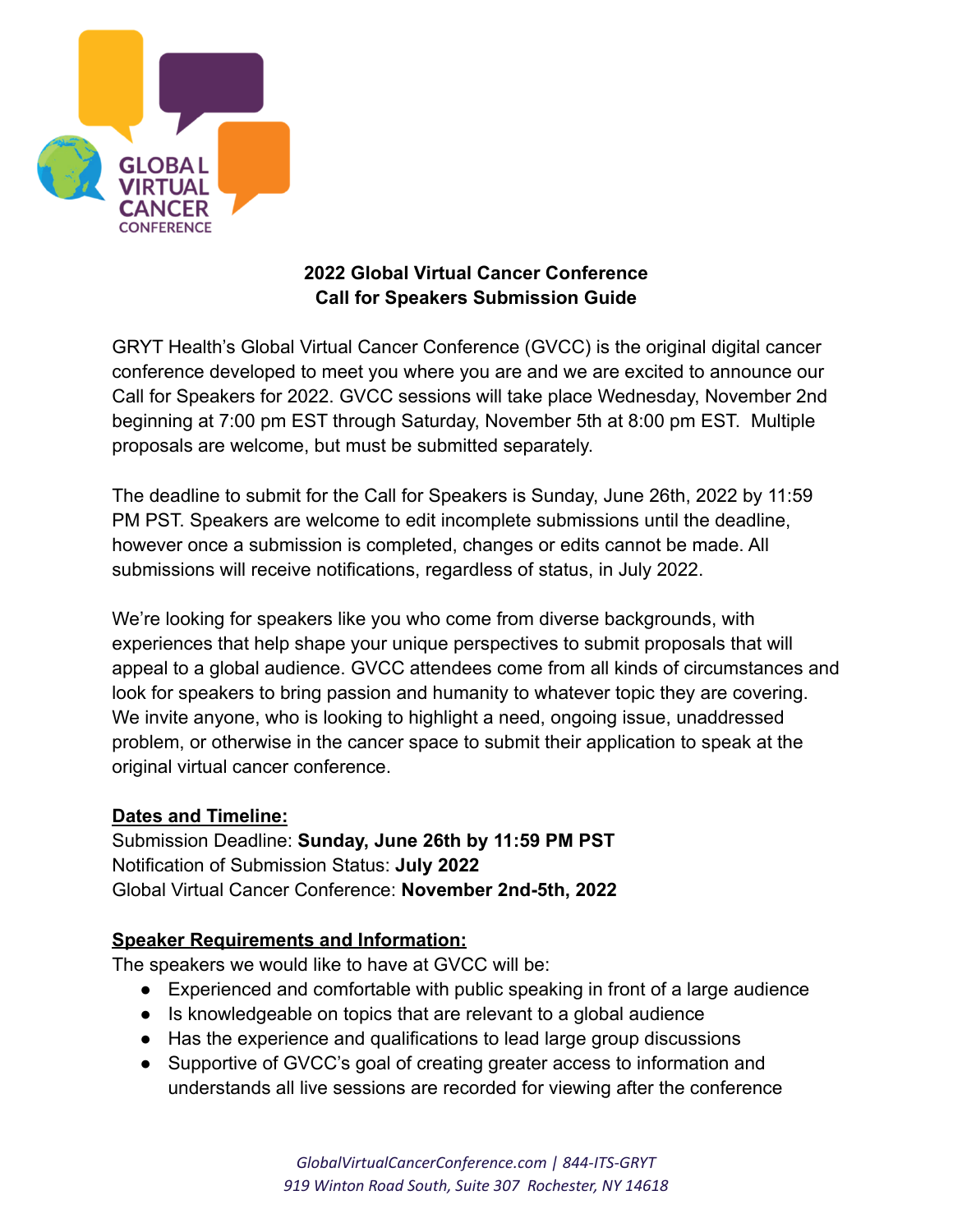

# **2022 Global Virtual Cancer Conference Call for Speakers Submission Guide**

GRYT Health's Global Virtual Cancer Conference (GVCC) is the original digital cancer conference developed to meet you where you are and we are excited to announce our Call for Speakers for 2022. GVCC sessions will take place Wednesday, November 2nd beginning at 7:00 pm EST through Saturday, November 5th at 8:00 pm EST. Multiple proposals are welcome, but must be submitted separately.

The deadline to submit for the Call for Speakers is Sunday, June 26th, 2022 by 11:59 PM PST. Speakers are welcome to edit incomplete submissions until the deadline, however once a submission is completed, changes or edits cannot be made. All submissions will receive notifications, regardless of status, in July 2022.

We're looking for speakers like you who come from diverse backgrounds, with experiences that help shape your unique perspectives to submit proposals that will appeal to a global audience. GVCC attendees come from all kinds of circumstances and look for speakers to bring passion and humanity to whatever topic they are covering. We invite anyone, who is looking to highlight a need, ongoing issue, unaddressed problem, or otherwise in the cancer space to submit their application to speak at the original virtual cancer conference.

# **Dates and Timeline:**

Submission Deadline: **Sunday, June 26th by 11:59 PM PST** Notification of Submission Status: **July 2022** Global Virtual Cancer Conference: **November 2nd-5th, 2022**

## **Speaker Requirements and Information:**

The speakers we would like to have at GVCC will be:

- Experienced and comfortable with public speaking in front of a large audience
- Is knowledgeable on topics that are relevant to a global audience
- Has the experience and qualifications to lead large group discussions
- Supportive of GVCC's goal of creating greater access to information and understands all live sessions are recorded for viewing after the conference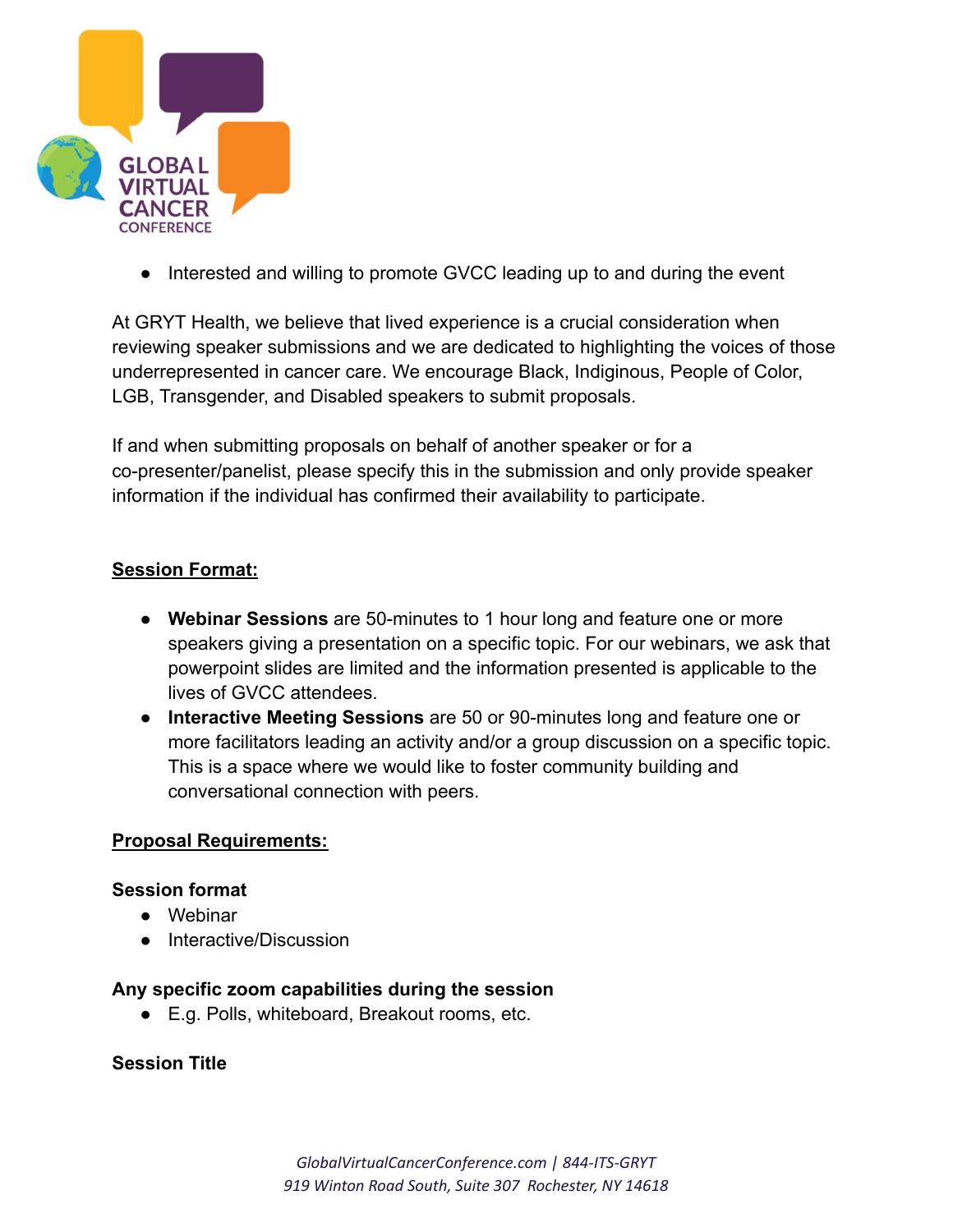

• Interested and willing to promote GVCC leading up to and during the event

At GRYT Health, we believe that lived experience is a crucial consideration when reviewing speaker submissions and we are dedicated to highlighting the voices of those underrepresented in cancer care. We encourage Black, Indiginous, People of Color, LGB, Transgender, and Disabled speakers to submit proposals.

If and when submitting proposals on behalf of another speaker or for a co-presenter/panelist, please specify this in the submission and only provide speaker information if the individual has confirmed their availability to participate.

### **Session Format:**

- **Webinar Sessions** are 50-minutes to 1 hour long and feature one or more speakers giving a presentation on a specific topic. For our webinars, we ask that powerpoint slides are limited and the information presented is applicable to the lives of GVCC attendees.
- **Interactive Meeting Sessions** are 50 or 90-minutes long and feature one or more facilitators leading an activity and/or a group discussion on a specific topic. This is a space where we would like to foster community building and conversational connection with peers.

#### **Proposal Requirements:**

#### **Session format**

- Webinar
- Interactive/Discussion

#### **Any specific zoom capabilities during the session**

● E.g. Polls, whiteboard, Breakout rooms, etc.

### **Session Title**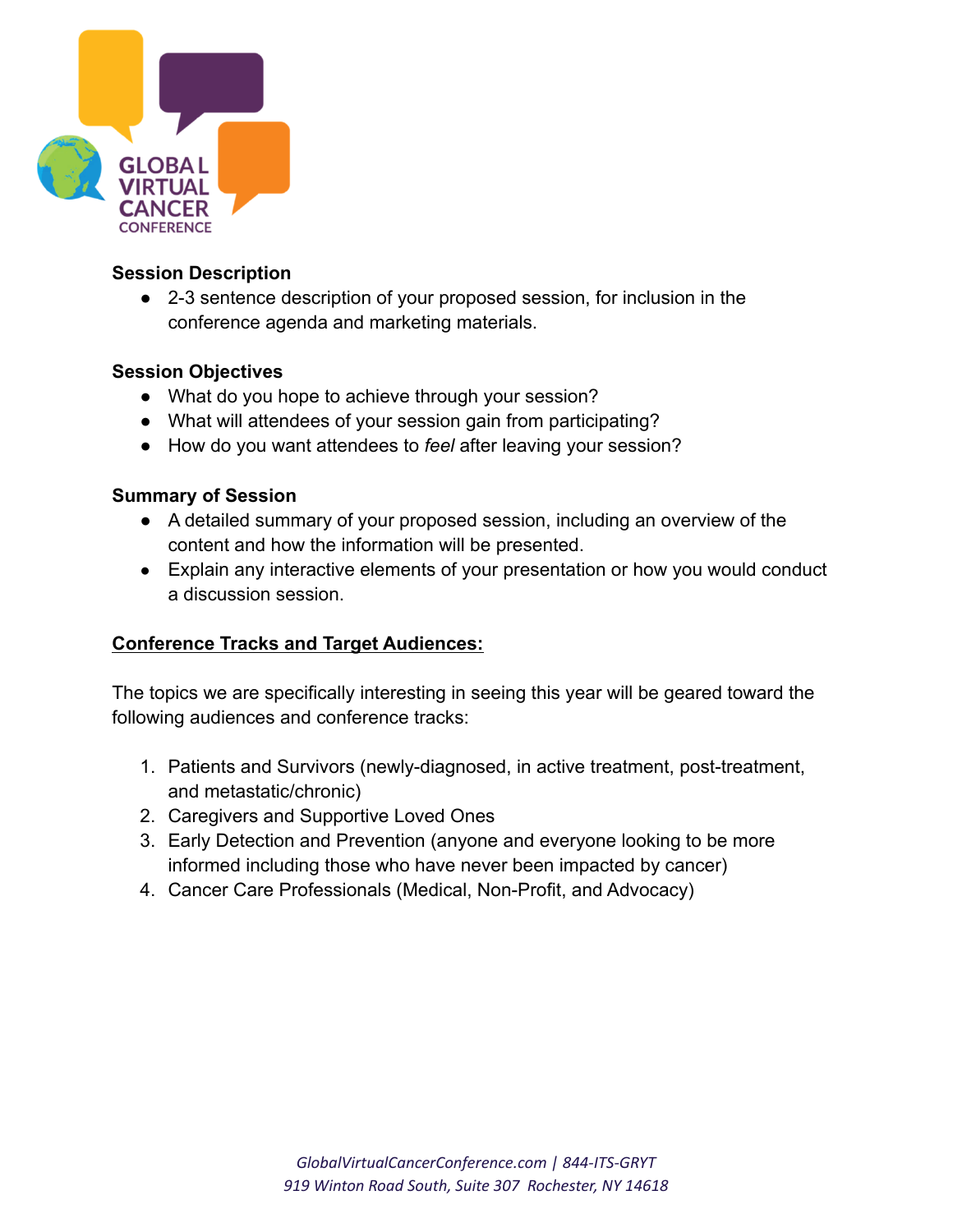

## **Session Description**

● 2-3 sentence description of your proposed session, for inclusion in the conference agenda and marketing materials.

## **Session Objectives**

- What do you hope to achieve through your session?
- What will attendees of your session gain from participating?
- How do you want attendees to *feel* after leaving your session?

### **Summary of Session**

- A detailed summary of your proposed session, including an overview of the content and how the information will be presented.
- Explain any interactive elements of your presentation or how you would conduct a discussion session.

## **Conference Tracks and Target Audiences:**

The topics we are specifically interesting in seeing this year will be geared toward the following audiences and conference tracks:

- 1. Patients and Survivors (newly-diagnosed, in active treatment, post-treatment, and metastatic/chronic)
- 2. Caregivers and Supportive Loved Ones
- 3. Early Detection and Prevention (anyone and everyone looking to be more informed including those who have never been impacted by cancer)
- 4. Cancer Care Professionals (Medical, Non-Profit, and Advocacy)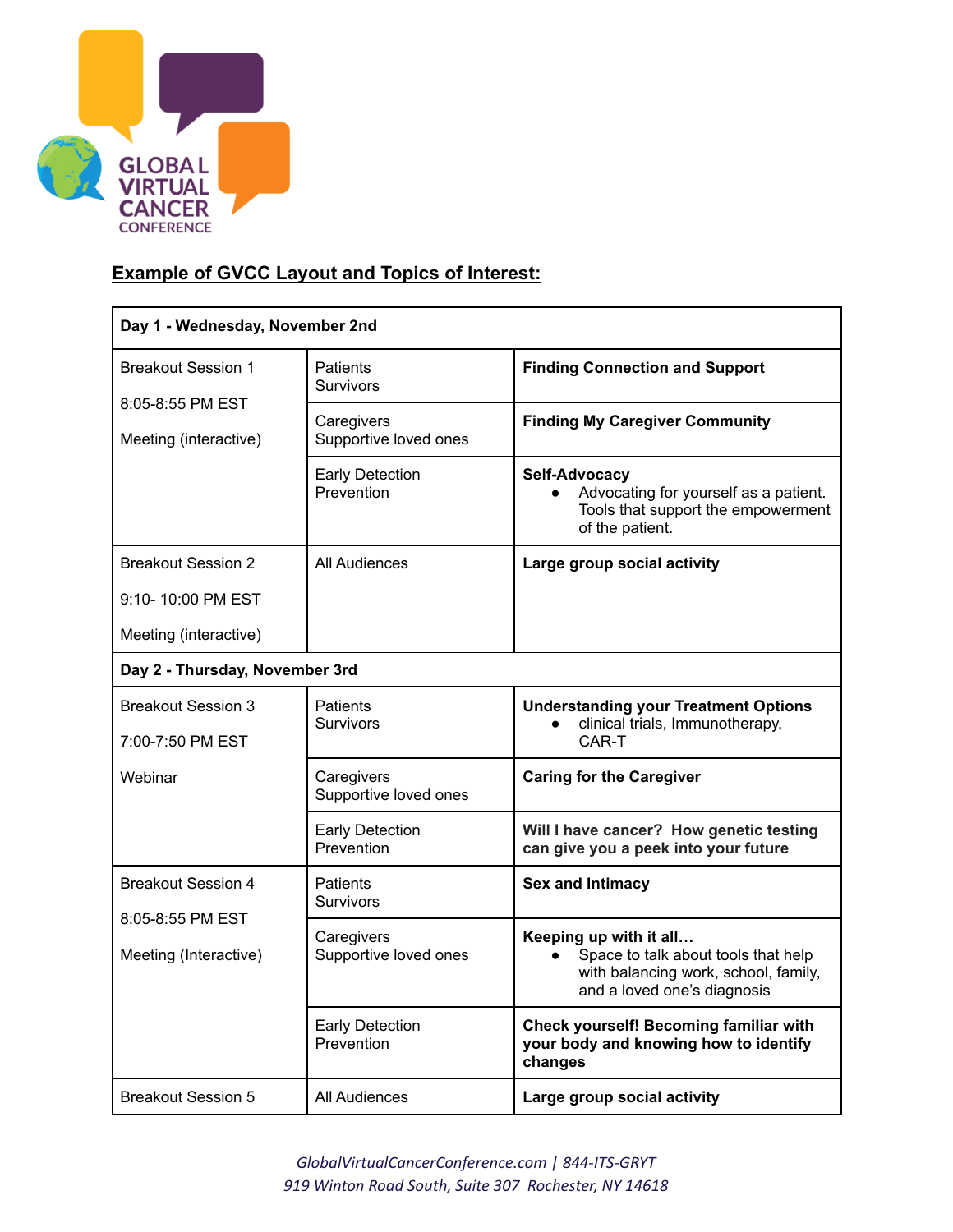

# **Example of GVCC Layout and Topics of Interest:**

| Day 1 - Wednesday, November 2nd                                        |                                      |                                                                                                                                      |  |  |
|------------------------------------------------------------------------|--------------------------------------|--------------------------------------------------------------------------------------------------------------------------------------|--|--|
| <b>Breakout Session 1</b><br>8:05-8:55 PM EST<br>Meeting (interactive) | <b>Patients</b><br><b>Survivors</b>  | <b>Finding Connection and Support</b>                                                                                                |  |  |
|                                                                        | Caregivers<br>Supportive loved ones  | <b>Finding My Caregiver Community</b>                                                                                                |  |  |
|                                                                        | <b>Early Detection</b><br>Prevention | Self-Advocacy<br>Advocating for yourself as a patient.<br>$\bullet$<br>Tools that support the empowerment<br>of the patient.         |  |  |
| <b>Breakout Session 2</b>                                              | All Audiences                        | Large group social activity                                                                                                          |  |  |
| 9:10-10:00 PM EST                                                      |                                      |                                                                                                                                      |  |  |
| Meeting (interactive)                                                  |                                      |                                                                                                                                      |  |  |
| Day 2 - Thursday, November 3rd                                         |                                      |                                                                                                                                      |  |  |
| <b>Breakout Session 3</b><br>7:00-7:50 PM EST                          | <b>Patients</b><br><b>Survivors</b>  | <b>Understanding your Treatment Options</b><br>clinical trials, Immunotherapy,<br>CAR-T                                              |  |  |
| Webinar                                                                | Caregivers<br>Supportive loved ones  | <b>Caring for the Caregiver</b>                                                                                                      |  |  |
|                                                                        | <b>Early Detection</b><br>Prevention | Will I have cancer? How genetic testing<br>can give you a peek into your future                                                      |  |  |
| <b>Breakout Session 4</b><br>8:05-8:55 PM EST<br>Meeting (Interactive) | <b>Patients</b><br><b>Survivors</b>  | <b>Sex and Intimacy</b>                                                                                                              |  |  |
|                                                                        | Caregivers<br>Supportive loved ones  | Keeping up with it all<br>Space to talk about tools that help<br>with balancing work, school, family,<br>and a loved one's diagnosis |  |  |
|                                                                        | <b>Early Detection</b><br>Prevention | Check yourself! Becoming familiar with<br>your body and knowing how to identify<br>changes                                           |  |  |
| <b>Breakout Session 5</b>                                              | All Audiences                        | Large group social activity                                                                                                          |  |  |

*GlobalVirtualCancerConference.com | 844-ITS-GRYT 919 Winton Road South, Suite 307 Rochester, NY 14618*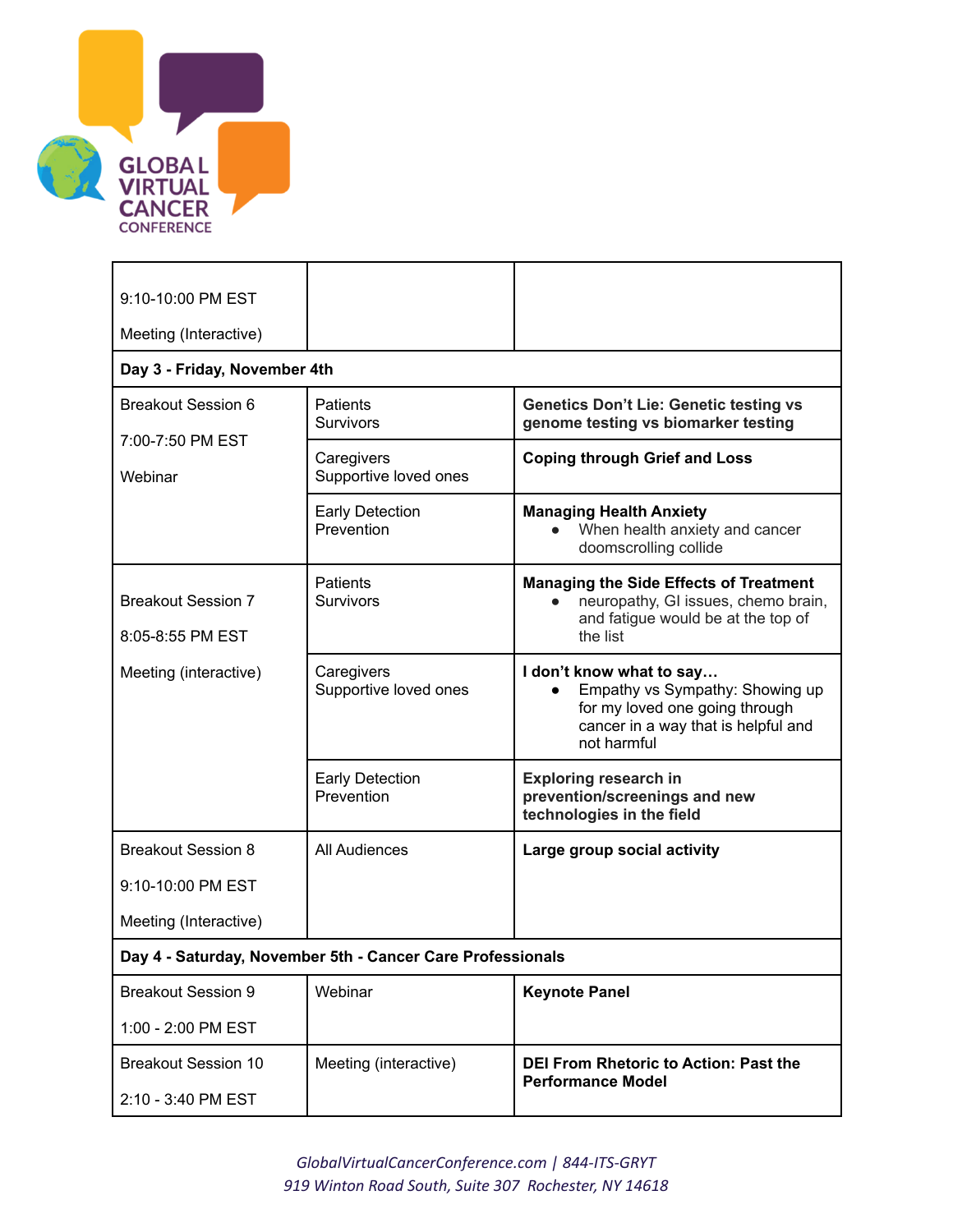

| 9:10-10:00 PM EST                                          |                                      |                                                                                                                                                     |  |  |
|------------------------------------------------------------|--------------------------------------|-----------------------------------------------------------------------------------------------------------------------------------------------------|--|--|
| Meeting (Interactive)                                      |                                      |                                                                                                                                                     |  |  |
| Day 3 - Friday, November 4th                               |                                      |                                                                                                                                                     |  |  |
| <b>Breakout Session 6</b>                                  | <b>Patients</b><br><b>Survivors</b>  | <b>Genetics Don't Lie: Genetic testing vs</b><br>genome testing vs biomarker testing                                                                |  |  |
| 7:00-7:50 PM EST<br>Webinar                                | Caregivers<br>Supportive loved ones  | <b>Coping through Grief and Loss</b>                                                                                                                |  |  |
|                                                            | <b>Early Detection</b><br>Prevention | <b>Managing Health Anxiety</b><br>When health anxiety and cancer<br>doomscrolling collide                                                           |  |  |
| <b>Breakout Session 7</b><br>8:05-8:55 PM EST              | <b>Patients</b><br><b>Survivors</b>  | <b>Managing the Side Effects of Treatment</b><br>neuropathy, GI issues, chemo brain,<br>and fatigue would be at the top of<br>the list              |  |  |
| Meeting (interactive)                                      | Caregivers<br>Supportive loved ones  | I don't know what to say<br>Empathy vs Sympathy: Showing up<br>for my loved one going through<br>cancer in a way that is helpful and<br>not harmful |  |  |
|                                                            | <b>Early Detection</b><br>Prevention | <b>Exploring research in</b><br>prevention/screenings and new<br>technologies in the field                                                          |  |  |
| <b>Breakout Session 8</b>                                  | All Audiences                        | Large group social activity                                                                                                                         |  |  |
| 9:10-10:00 PM EST                                          |                                      |                                                                                                                                                     |  |  |
| Meeting (Interactive)                                      |                                      |                                                                                                                                                     |  |  |
| Day 4 - Saturday, November 5th - Cancer Care Professionals |                                      |                                                                                                                                                     |  |  |
| <b>Breakout Session 9</b>                                  | Webinar                              | <b>Keynote Panel</b>                                                                                                                                |  |  |
| 1:00 - 2:00 PM EST                                         |                                      |                                                                                                                                                     |  |  |
| <b>Breakout Session 10</b><br>2:10 - 3:40 PM EST           | Meeting (interactive)                | <b>DEI From Rhetoric to Action: Past the</b><br><b>Performance Model</b>                                                                            |  |  |

*GlobalVirtualCancerConference.com | 844-ITS-GRYT 919 Winton Road South, Suite 307 Rochester, NY 14618*